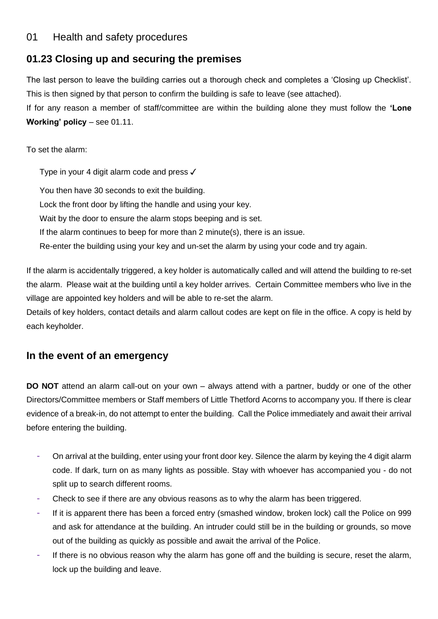### 01 Health and safety procedures

# **01.23 Closing up and securing the premises**

The last person to leave the building carries out a thorough check and completes a 'Closing up Checklist'. This is then signed by that person to confirm the building is safe to leave (see attached).

If for any reason a member of staff/committee are within the building alone they must follow the **'Lone Working' policy** – see 01.11.

To set the alarm:

Type in your 4 digit alarm code and press ✓ You then have 30 seconds to exit the building. Lock the front door by lifting the handle and using your key. Wait by the door to ensure the alarm stops beeping and is set. If the alarm continues to beep for more than 2 minute(s), there is an issue. Re-enter the building using your key and un-set the alarm by using your code and try again.

If the alarm is accidentally triggered, a key holder is automatically called and will attend the building to re-set the alarm. Please wait at the building until a key holder arrives. Certain Committee members who live in the village are appointed key holders and will be able to re-set the alarm.

Details of key holders, contact details and alarm callout codes are kept on file in the office. A copy is held by each keyholder.

## **In the event of an emergency**

**DO NOT** attend an alarm call-out on your own – always attend with a partner, buddy or one of the other Directors/Committee members or Staff members of Little Thetford Acorns to accompany you. If there is clear evidence of a break-in, do not attempt to enter the building. Call the Police immediately and await their arrival before entering the building.

- On arrival at the building, enter using your front door key. Silence the alarm by keying the 4 digit alarm code. If dark, turn on as many lights as possible. Stay with whoever has accompanied you - do not split up to search different rooms.
- Check to see if there are any obvious reasons as to why the alarm has been triggered.
- If it is apparent there has been a forced entry (smashed window, broken lock) call the Police on 999 and ask for attendance at the building. An intruder could still be in the building or grounds, so move out of the building as quickly as possible and await the arrival of the Police.
- If there is no obvious reason why the alarm has gone off and the building is secure, reset the alarm, lock up the building and leave.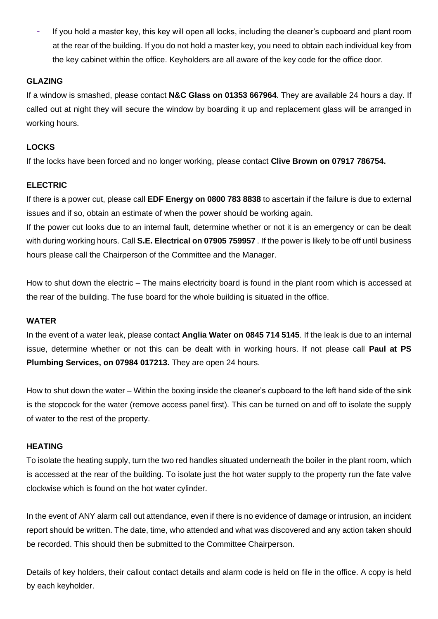If you hold a master key, this key will open all locks, including the cleaner's cupboard and plant room at the rear of the building. If you do not hold a master key, you need to obtain each individual key from the key cabinet within the office. Keyholders are all aware of the key code for the office door.

#### **GLAZING**

If a window is smashed, please contact **N&C Glass on 01353 667964**. They are available 24 hours a day. If called out at night they will secure the window by boarding it up and replacement glass will be arranged in working hours.

#### **LOCKS**

If the locks have been forced and no longer working, please contact **Clive Brown on 07917 786754.**

#### **ELECTRIC**

If there is a power cut, please call **EDF Energy on 0800 783 8838** to ascertain if the failure is due to external issues and if so, obtain an estimate of when the power should be working again.

If the power cut looks due to an internal fault, determine whether or not it is an emergency or can be dealt with during working hours. Call **S.E. Electrical on 07905 759957** . If the power is likely to be off until business hours please call the Chairperson of the Committee and the Manager.

How to shut down the electric – The mains electricity board is found in the plant room which is accessed at the rear of the building. The fuse board for the whole building is situated in the office.

#### **WATER**

In the event of a water leak, please contact **Anglia Water on 0845 714 5145**. If the leak is due to an internal issue, determine whether or not this can be dealt with in working hours. If not please call **Paul at PS Plumbing Services, on 07984 017213.** They are open 24 hours.

How to shut down the water – Within the boxing inside the cleaner's cupboard to the left hand side of the sink is the stopcock for the water (remove access panel first). This can be turned on and off to isolate the supply of water to the rest of the property.

#### **HEATING**

To isolate the heating supply, turn the two red handles situated underneath the boiler in the plant room, which is accessed at the rear of the building. To isolate just the hot water supply to the property run the fate valve clockwise which is found on the hot water cylinder.

In the event of ANY alarm call out attendance, even if there is no evidence of damage or intrusion, an incident report should be written. The date, time, who attended and what was discovered and any action taken should be recorded. This should then be submitted to the Committee Chairperson.

Details of key holders, their callout contact details and alarm code is held on file in the office. A copy is held by each keyholder.